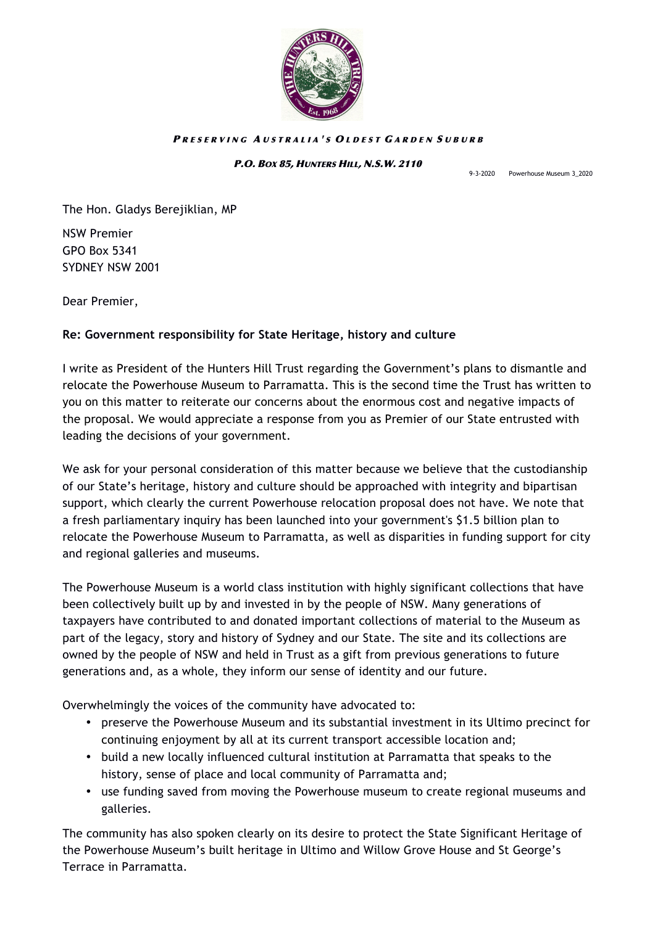

## PRESERVING AUSTRALIA'S OLDEST GARDEN SUBURB

## P.O. BOX 85, HUNTERS HILL, N.S.W. 2110

9-3-2020 Powerhouse Museum 3\_2020

The Hon. Gladys Berejiklian, MP

NSW Premier GPO Box 5341 SYDNEY NSW 2001

Dear Premier,

## **Re: Government responsibility for State Heritage, history and culture**

I write as President of the Hunters Hill Trust regarding the Government's plans to dismantle and relocate the Powerhouse Museum to Parramatta. This is the second time the Trust has written to you on this matter to reiterate our concerns about the enormous cost and negative impacts of the proposal. We would appreciate a response from you as Premier of our State entrusted with leading the decisions of your government.

We ask for your personal consideration of this matter because we believe that the custodianship of our State's heritage, history and culture should be approached with integrity and bipartisan support, which clearly the current Powerhouse relocation proposal does not have. We note that a fresh parliamentary inquiry has been launched into your government's \$1.5 billion plan to relocate the Powerhouse Museum to Parramatta, as well as disparities in funding support for city and regional galleries and museums.

The Powerhouse Museum is a world class institution with highly significant collections that have been collectively built up by and invested in by the people of NSW. Many generations of taxpayers have contributed to and donated important collections of material to the Museum as part of the legacy, story and history of Sydney and our State. The site and its collections are owned by the people of NSW and held in Trust as a gift from previous generations to future generations and, as a whole, they inform our sense of identity and our future.

Overwhelmingly the voices of the community have advocated to:

- preserve the Powerhouse Museum and its substantial investment in its Ultimo precinct for continuing enjoyment by all at its current transport accessible location and;
- build a new locally influenced cultural institution at Parramatta that speaks to the history, sense of place and local community of Parramatta and;
- use funding saved from moving the Powerhouse museum to create regional museums and galleries.

The community has also spoken clearly on its desire to protect the State Significant Heritage of the Powerhouse Museum's built heritage in Ultimo and Willow Grove House and St George's Terrace in Parramatta.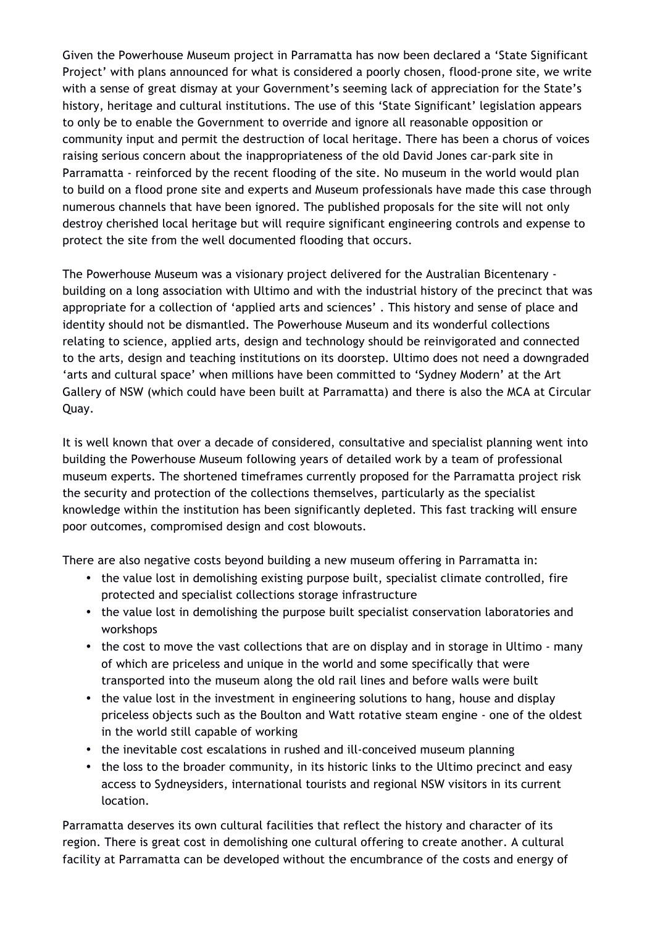Given the Powerhouse Museum project in Parramatta has now been declared a 'State Significant Project' with plans announced for what is considered a poorly chosen, flood-prone site, we write with a sense of great dismay at your Government's seeming lack of appreciation for the State's history, heritage and cultural institutions. The use of this 'State Significant' legislation appears to only be to enable the Government to override and ignore all reasonable opposition or community input and permit the destruction of local heritage. There has been a chorus of voices raising serious concern about the inappropriateness of the old David Jones car-park site in Parramatta - reinforced by the recent flooding of the site. No museum in the world would plan to build on a flood prone site and experts and Museum professionals have made this case through numerous channels that have been ignored. The published proposals for the site will not only destroy cherished local heritage but will require significant engineering controls and expense to protect the site from the well documented flooding that occurs.

The Powerhouse Museum was a visionary project delivered for the Australian Bicentenary building on a long association with Ultimo and with the industrial history of the precinct that was appropriate for a collection of 'applied arts and sciences' . This history and sense of place and identity should not be dismantled. The Powerhouse Museum and its wonderful collections relating to science, applied arts, design and technology should be reinvigorated and connected to the arts, design and teaching institutions on its doorstep. Ultimo does not need a downgraded 'arts and cultural space' when millions have been committed to 'Sydney Modern' at the Art Gallery of NSW (which could have been built at Parramatta) and there is also the MCA at Circular Quay.

It is well known that over a decade of considered, consultative and specialist planning went into building the Powerhouse Museum following years of detailed work by a team of professional museum experts. The shortened timeframes currently proposed for the Parramatta project risk the security and protection of the collections themselves, particularly as the specialist knowledge within the institution has been significantly depleted. This fast tracking will ensure poor outcomes, compromised design and cost blowouts.

There are also negative costs beyond building a new museum offering in Parramatta in:

- the value lost in demolishing existing purpose built, specialist climate controlled, fire protected and specialist collections storage infrastructure
- the value lost in demolishing the purpose built specialist conservation laboratories and workshops
- the cost to move the vast collections that are on display and in storage in Ultimo many of which are priceless and unique in the world and some specifically that were transported into the museum along the old rail lines and before walls were built
- the value lost in the investment in engineering solutions to hang, house and display priceless objects such as the Boulton and Watt rotative steam engine - one of the oldest in the world still capable of working
- the inevitable cost escalations in rushed and ill-conceived museum planning
- the loss to the broader community, in its historic links to the Ultimo precinct and easy access to Sydneysiders, international tourists and regional NSW visitors in its current location.

Parramatta deserves its own cultural facilities that reflect the history and character of its region. There is great cost in demolishing one cultural offering to create another. A cultural facility at Parramatta can be developed without the encumbrance of the costs and energy of